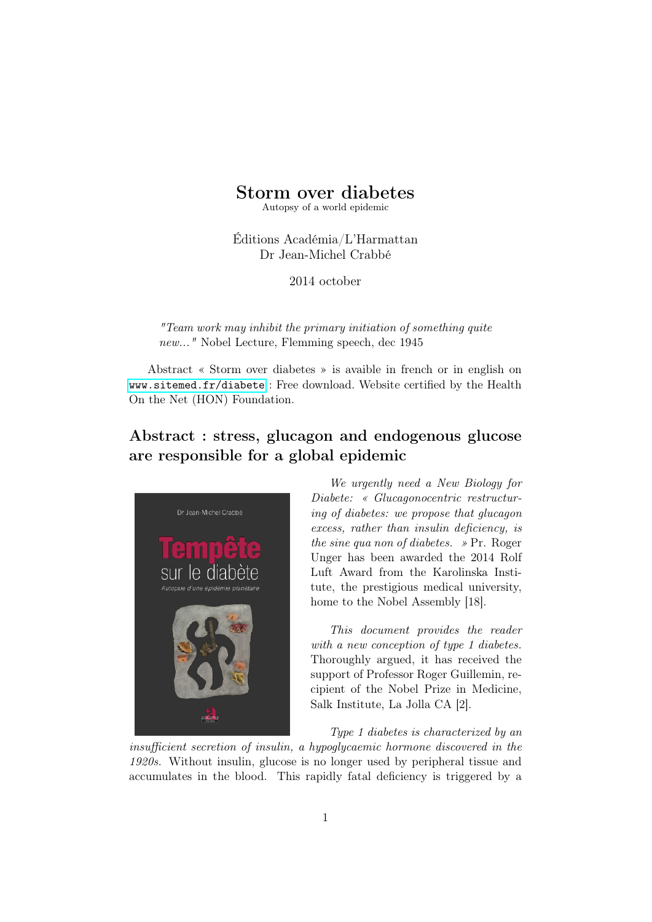## Storm over diabetes

Autopsy of a world epidemic

Éditions Académia/L'Harmattan Dr Jean-Michel Crabbé

2014 october

"Team work may inhibit the primary initiation of something quite new..." Nobel Lecture, Flemming speech, dec 1945

Abstract « Storm over diabetes » is avaible in french or in english on <www.sitemed.fr/diabete> : Free download. Website certified by the Health On the Net (HON) Foundation.

## Abstract : stress, glucagon and endogenous glucose are responsible for a global epidemic



We urgently need a New Biology for Diabete: « Glucagonocentric restructuring of diabetes: we propose that glucagon excess, rather than insulin deficiency, is the sine qua non of diabetes. » Pr. Roger Unger has been awarded the 2014 Rolf Luft Award from the Karolinska Institute, the prestigious medical university, home to the Nobel Assembly [18].

This document provides the reader with a new conception of type 1 diabetes. Thoroughly argued, it has received the support of Professor Roger Guillemin, recipient of the Nobel Prize in Medicine, Salk Institute, La Jolla CA [2].

Type 1 diabetes is characterized by an

insufficient secretion of insulin, a hypoglycaemic hormone discovered in the 1920s. Without insulin, glucose is no longer used by peripheral tissue and accumulates in the blood. This rapidly fatal deficiency is triggered by a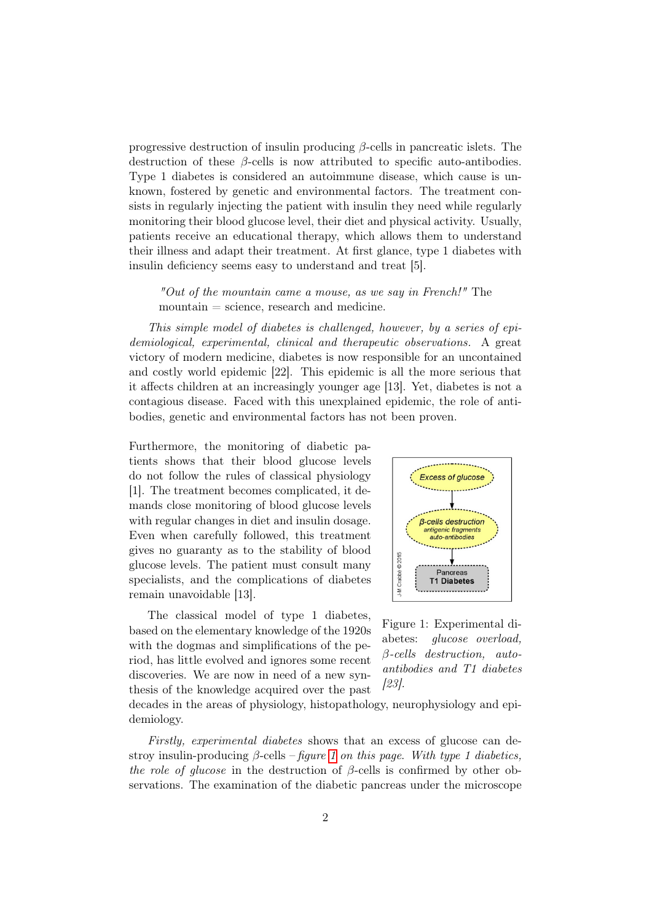progressive destruction of insulin producing  $\beta$ -cells in pancreatic islets. The destruction of these β-cells is now attributed to specific auto-antibodies. Type 1 diabetes is considered an autoimmune disease, which cause is unknown, fostered by genetic and environmental factors. The treatment consists in regularly injecting the patient with insulin they need while regularly monitoring their blood glucose level, their diet and physical activity. Usually, patients receive an educational therapy, which allows them to understand their illness and adapt their treatment. At first glance, type 1 diabetes with insulin deficiency seems easy to understand and treat [5].

"Out of the mountain came a mouse, as we say in French!" The mountain = science, research and medicine.

This simple model of diabetes is challenged, however, by a series of epidemiological, experimental, clinical and therapeutic observations. A great victory of modern medicine, diabetes is now responsible for an uncontained and costly world epidemic [22]. This epidemic is all the more serious that it affects children at an increasingly younger age [13]. Yet, diabetes is not a contagious disease. Faced with this unexplained epidemic, the role of antibodies, genetic and environmental factors has not been proven.

Furthermore, the monitoring of diabetic patients shows that their blood glucose levels do not follow the rules of classical physiology [1]. The treatment becomes complicated, it demands close monitoring of blood glucose levels with regular changes in diet and insulin dosage. Even when carefully followed, this treatment gives no guaranty as to the stability of blood glucose levels. The patient must consult many specialists, and the complications of diabetes remain unavoidable [13].

The classical model of type 1 diabetes, based on the elementary knowledge of the 1920s with the dogmas and simplifications of the period, has little evolved and ignores some recent discoveries. We are now in need of a new synthesis of the knowledge acquired over the past



<span id="page-1-0"></span>Figure 1: Experimental diabetes: glucose overload, β-cells destruction, autoantibodies and T1 diabetes [23].

decades in the areas of physiology, histopathology, neurophysiology and epidemiology.

Firstly, experimental diabetes shows that an excess of glucose can destroy insulin-producing  $\beta$ -cells – figure [1](#page-1-0) on this page. With type 1 diabetics, the role of glucose in the destruction of  $\beta$ -cells is confirmed by other observations. The examination of the diabetic pancreas under the microscope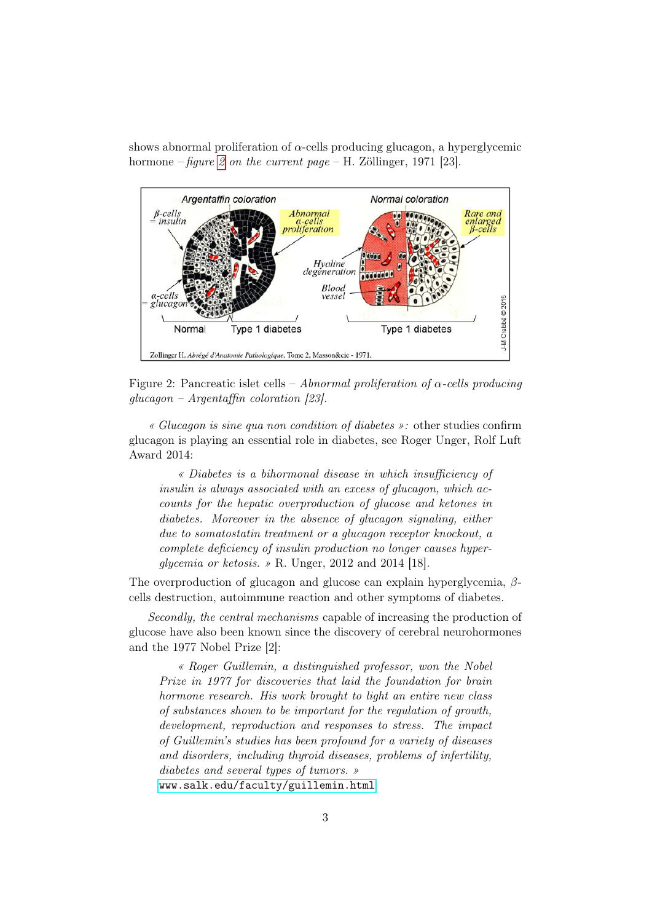shows abnormal proliferation of  $\alpha$ -cells producing glucagon, a hyperglycemic hormone – figure [2](#page-2-0) on the current page – H. Zöllinger, 1971 [23].



<span id="page-2-0"></span>Figure 2: Pancreatic islet cells – Abnormal proliferation of  $\alpha$ -cells producing  $glucagon - Argentaffin\ coloration$  [23].

« Glucagon is sine qua non condition of diabetes »: other studies confirm glucagon is playing an essential role in diabetes, see Roger Unger, Rolf Luft Award 2014:

« Diabetes is a bihormonal disease in which insufficiency of insulin is always associated with an excess of glucagon, which accounts for the hepatic overproduction of glucose and ketones in diabetes. Moreover in the absence of glucagon signaling, either due to somatostatin treatment or a glucagon receptor knockout, a complete deficiency of insulin production no longer causes hyperglycemia or ketosis.  $\triangleright$  R. Unger, 2012 and 2014 [18].

The overproduction of glucagon and glucose can explain hyperglycemia,  $\beta$ cells destruction, autoimmune reaction and other symptoms of diabetes.

Secondly, the central mechanisms capable of increasing the production of glucose have also been known since the discovery of cerebral neurohormones and the 1977 Nobel Prize [2]:

« Roger Guillemin, a distinguished professor, won the Nobel Prize in 1977 for discoveries that laid the foundation for brain hormone research. His work brought to light an entire new class of substances shown to be important for the regulation of growth, development, reproduction and responses to stress. The impact of Guillemin's studies has been profound for a variety of diseases and disorders, including thyroid diseases, problems of infertility, diabetes and several types of tumors. » <www.salk.edu/faculty/guillemin.html>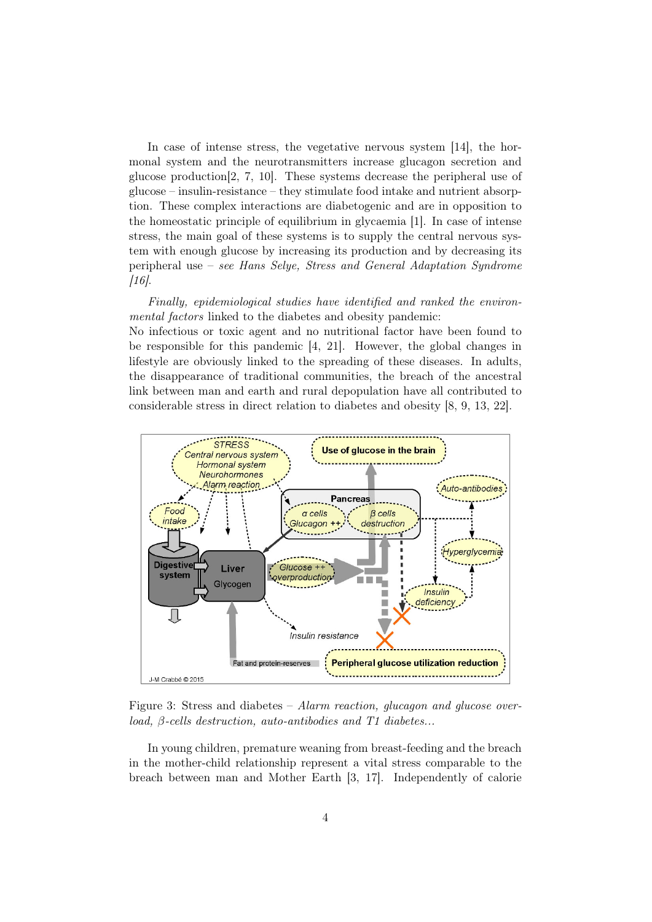In case of intense stress, the vegetative nervous system [14], the hormonal system and the neurotransmitters increase glucagon secretion and glucose production[2, 7, 10]. These systems decrease the peripheral use of glucose – insulin-resistance – they stimulate food intake and nutrient absorption. These complex interactions are diabetogenic and are in opposition to the homeostatic principle of equilibrium in glycaemia [1]. In case of intense stress, the main goal of these systems is to supply the central nervous system with enough glucose by increasing its production and by decreasing its peripheral use – see Hans Selye, Stress and General Adaptation Syndrome  $[16]$ .

Finally, epidemiological studies have identified and ranked the environmental factors linked to the diabetes and obesity pandemic:

No infectious or toxic agent and no nutritional factor have been found to be responsible for this pandemic [4, 21]. However, the global changes in lifestyle are obviously linked to the spreading of these diseases. In adults, the disappearance of traditional communities, the breach of the ancestral link between man and earth and rural depopulation have all contributed to considerable stress in direct relation to diabetes and obesity [8, 9, 13, 22].



<span id="page-3-0"></span>Figure 3: Stress and diabetes – Alarm reaction, glucagon and glucose overload, β-cells destruction, auto-antibodies and T1 diabetes...

In young children, premature weaning from breast-feeding and the breach in the mother-child relationship represent a vital stress comparable to the breach between man and Mother Earth [3, 17]. Independently of calorie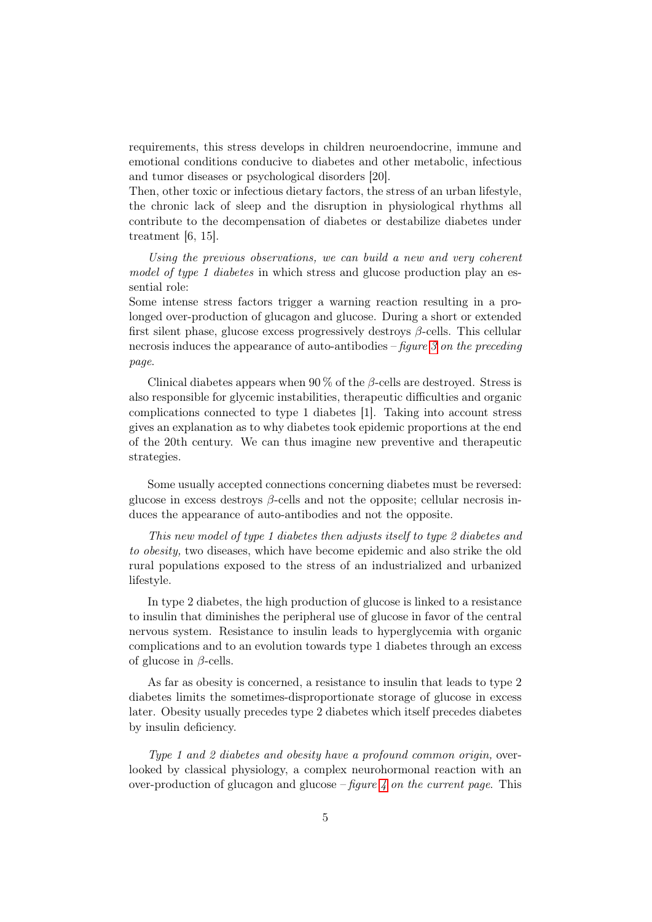requirements, this stress develops in children neuroendocrine, immune and emotional conditions conducive to diabetes and other metabolic, infectious and tumor diseases or psychological disorders [20].

Then, other toxic or infectious dietary factors, the stress of an urban lifestyle, the chronic lack of sleep and the disruption in physiological rhythms all contribute to the decompensation of diabetes or destabilize diabetes under treatment [6, 15].

Using the previous observations, we can build a new and very coherent model of type 1 diabetes in which stress and glucose production play an essential role:

Some intense stress factors trigger a warning reaction resulting in a prolonged over-production of glucagon and glucose. During a short or extended first silent phase, glucose excess progressively destroys  $\beta$ -cells. This cellular necrosis induces the appearance of auto-antibodies – figure [3](#page-3-0) on the preceding page.

Clinical diabetes appears when  $90\%$  of the  $\beta$ -cells are destroyed. Stress is also responsible for glycemic instabilities, therapeutic difficulties and organic complications connected to type 1 diabetes [1]. Taking into account stress gives an explanation as to why diabetes took epidemic proportions at the end of the 20th century. We can thus imagine new preventive and therapeutic strategies.

Some usually accepted connections concerning diabetes must be reversed: glucose in excess destroys β-cells and not the opposite; cellular necrosis induces the appearance of auto-antibodies and not the opposite.

This new model of type 1 diabetes then adjusts itself to type 2 diabetes and to obesity, two diseases, which have become epidemic and also strike the old rural populations exposed to the stress of an industrialized and urbanized lifestyle.

In type 2 diabetes, the high production of glucose is linked to a resistance to insulin that diminishes the peripheral use of glucose in favor of the central nervous system. Resistance to insulin leads to hyperglycemia with organic complications and to an evolution towards type 1 diabetes through an excess of glucose in  $\beta$ -cells.

As far as obesity is concerned, a resistance to insulin that leads to type 2 diabetes limits the sometimes-disproportionate storage of glucose in excess later. Obesity usually precedes type 2 diabetes which itself precedes diabetes by insulin deficiency.

Type 1 and 2 diabetes and obesity have a profound common origin, overlooked by classical physiology, a complex neurohormonal reaction with an over-production of glucagon and glucose – figure  $\lambda$  on the current page. This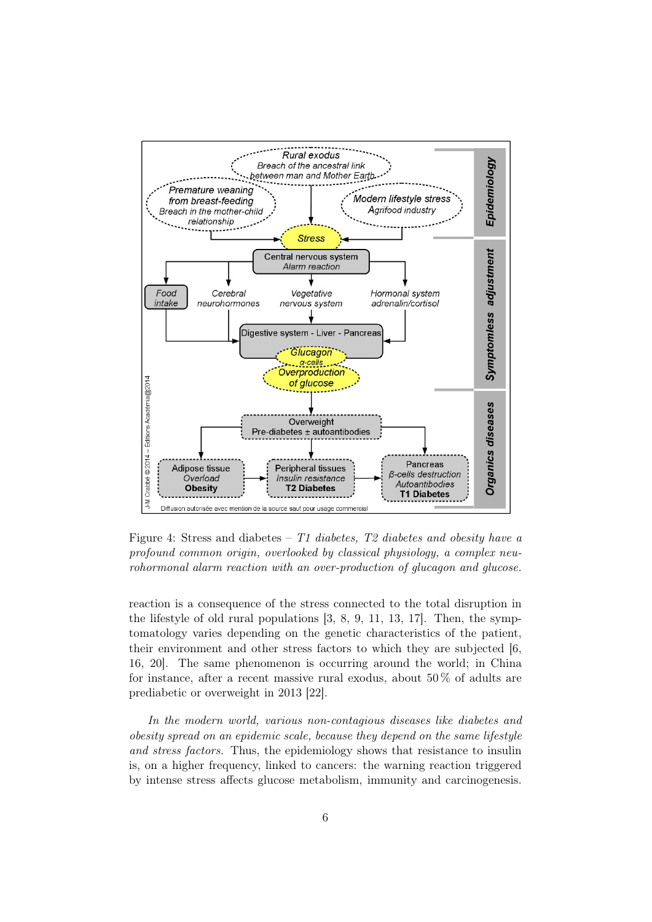

<span id="page-5-0"></span>Figure 4: Stress and diabetes – T1 diabetes, T2 diabetes and obesity have a profound common origin, overlooked by classical physiology, a complex neurohormonal alarm reaction with an over-production of glucagon and glucose.

reaction is a consequence of the stress connected to the total disruption in the lifestyle of old rural populations [3, 8, 9, 11, 13, 17]. Then, the symptomatology varies depending on the genetic characteristics of the patient, their environment and other stress factors to which they are subjected [6, 16, 20]. The same phenomenon is occurring around the world; in China for instance, after a recent massive rural exodus, about  $50\%$  of adults are prediabetic or overweight in 2013 [22].

In the modern world, various non-contagious diseases like diabetes and obesity spread on an epidemic scale, because they depend on the same lifestyle and stress factors. Thus, the epidemiology shows that resistance to insulin is, on a higher frequency, linked to cancers: the warning reaction triggered by intense stress affects glucose metabolism, immunity and carcinogenesis.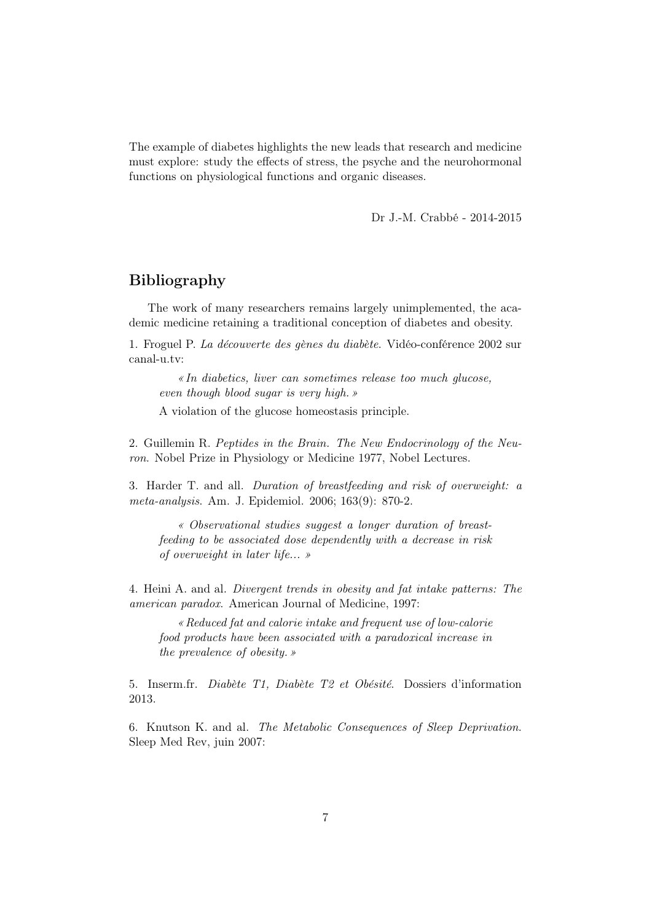The example of diabetes highlights the new leads that research and medicine must explore: study the effects of stress, the psyche and the neurohormonal functions on physiological functions and organic diseases.

Dr J.-M. Crabbé - 2014-2015

## Bibliography

The work of many researchers remains largely unimplemented, the academic medicine retaining a traditional conception of diabetes and obesity.

1. Froguel P. La découverte des gènes du diabète. Vidéo-conférence 2002 sur canal-u.tv:

« In diabetics, liver can sometimes release too much glucose, even though blood sugar is very high. »

A violation of the glucose homeostasis principle.

2. Guillemin R. Peptides in the Brain. The New Endocrinology of the Neuron. Nobel Prize in Physiology or Medicine 1977, Nobel Lectures.

3. Harder T. and all. Duration of breastfeeding and risk of overweight: a meta-analysis. Am. J. Epidemiol. 2006; 163(9): 870-2.

« Observational studies suggest a longer duration of breastfeeding to be associated dose dependently with a decrease in risk of overweight in later life... »

4. Heini A. and al. Divergent trends in obesity and fat intake patterns: The american paradox. American Journal of Medicine, 1997:

« Reduced fat and calorie intake and frequent use of low-calorie food products have been associated with a paradoxical increase in the prevalence of obesity. »

5. Inserm.fr. Diabète T1, Diabète T2 et Obésité. Dossiers d'information 2013.

6. Knutson K. and al. The Metabolic Consequences of Sleep Deprivation. Sleep Med Rev, juin 2007: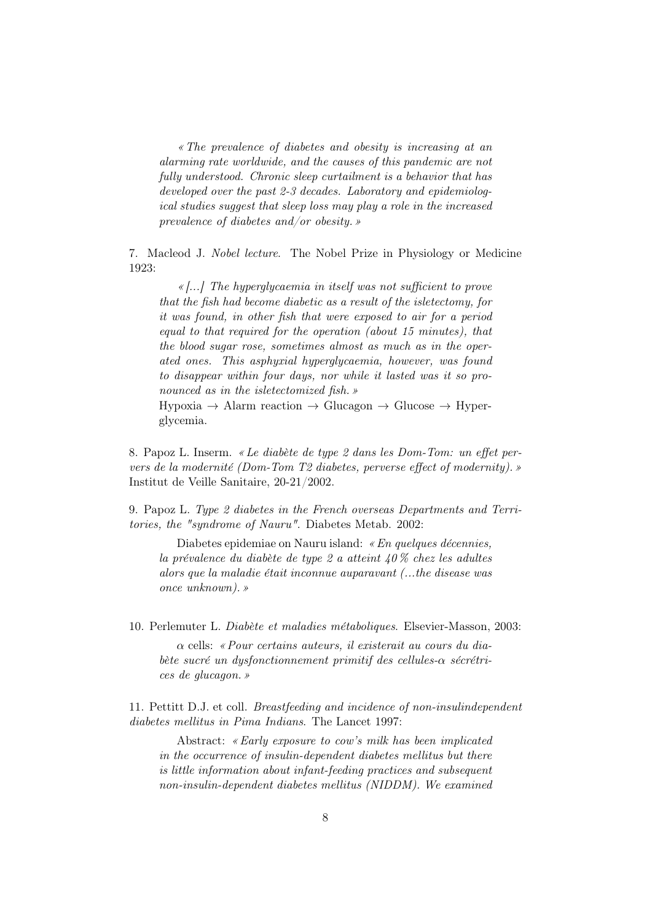« The prevalence of diabetes and obesity is increasing at an alarming rate worldwide, and the causes of this pandemic are not fully understood. Chronic sleep curtailment is a behavior that has developed over the past 2-3 decades. Laboratory and epidemiological studies suggest that sleep loss may play a role in the increased prevalence of diabetes and/or obesity. »

7. Macleod J. Nobel lecture. The Nobel Prize in Physiology or Medicine 1923:

« [...] The hyperglycaemia in itself was not sufficient to prove that the fish had become diabetic as a result of the isletectomy, for it was found, in other fish that were exposed to air for a period equal to that required for the operation (about 15 minutes), that the blood sugar rose, sometimes almost as much as in the operated ones. This asphyxial hyperglycaemia, however, was found to disappear within four days, nor while it lasted was it so pronounced as in the isletectomized fish. »  $Hypoxia \to \text{Alarm reaction} \to \text{Glucagon} \to \text{Glucose} \to \text{Hyper}$ 

8. Papoz L. Inserm. « Le diabète de type 2 dans les Dom-Tom: un effet pervers de la modernité (Dom-Tom T2 diabetes, perverse effect of modernity). » Institut de Veille Sanitaire, 20-21/2002.

glycemia.

9. Papoz L. Type 2 diabetes in the French overseas Departments and Territories, the "syndrome of Nauru". Diabetes Metab. 2002:

Diabetes epidemiae on Nauru island: « En quelques décennies, la prévalence du diabète de type 2 a atteint 40 % chez les adultes alors que la maladie était inconnue auparavant (...the disease was once unknown). »

10. Perlemuter L. Diabète et maladies métaboliques. Elsevier-Masson, 2003:

α cells: « Pour certains auteurs, il existerait au cours du diabète sucré un dysfonctionnement primitif des cellules-α sécrétrices de glucagon. »

11. Pettitt D.J. et coll. Breastfeeding and incidence of non-insulindependent diabetes mellitus in Pima Indians. The Lancet 1997:

Abstract: « Early exposure to cow's milk has been implicated in the occurrence of insulin-dependent diabetes mellitus but there is little information about infant-feeding practices and subsequent non-insulin-dependent diabetes mellitus (NIDDM). We examined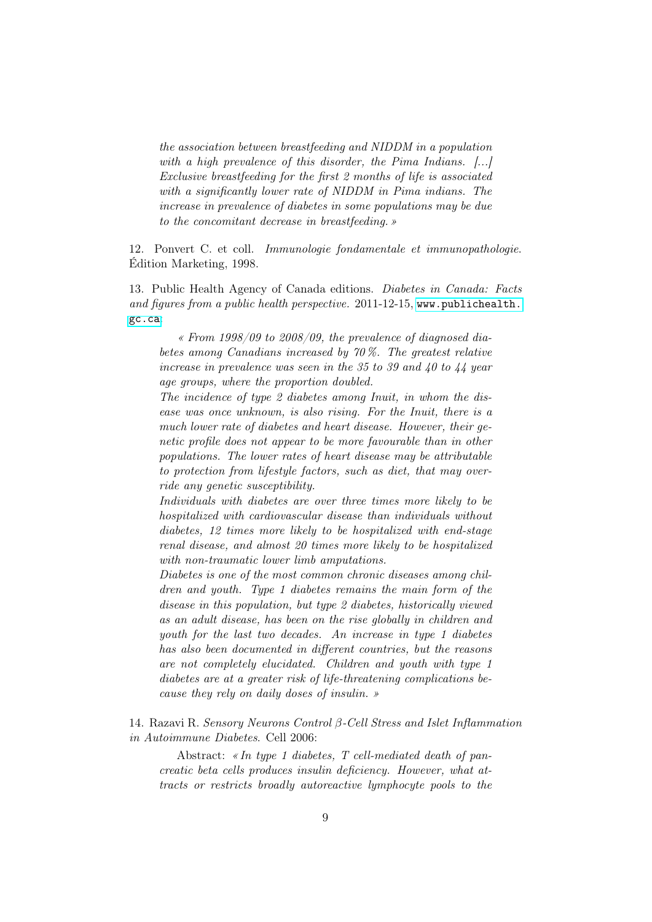the association between breastfeeding and NIDDM in a population with a high prevalence of this disorder, the Pima Indians. [...] Exclusive breastfeeding for the first 2 months of life is associated with a significantly lower rate of NIDDM in Pima indians. The increase in prevalence of diabetes in some populations may be due to the concomitant decrease in breastfeeding. »

12. Ponvert C. et coll. Immunologie fondamentale et immunopathologie. Édition Marketing, 1998.

13. Public Health Agency of Canada editions. Diabetes in Canada: Facts and figures from a public health perspective. 2011-12-15, [www.publichealth.](www.publichealth.gc.ca) [gc.ca](www.publichealth.gc.ca):

« From 1998/09 to 2008/09, the prevalence of diagnosed diabetes among Canadians increased by 70 %. The greatest relative increase in prevalence was seen in the 35 to 39 and 40 to 44 year age groups, where the proportion doubled.

The incidence of type 2 diabetes among Inuit, in whom the disease was once unknown, is also rising. For the Inuit, there is a much lower rate of diabetes and heart disease. However, their genetic profile does not appear to be more favourable than in other populations. The lower rates of heart disease may be attributable to protection from lifestyle factors, such as diet, that may override any genetic susceptibility.

Individuals with diabetes are over three times more likely to be hospitalized with cardiovascular disease than individuals without diabetes, 12 times more likely to be hospitalized with end-stage renal disease, and almost 20 times more likely to be hospitalized with non-traumatic lower limb amputations.

Diabetes is one of the most common chronic diseases among children and youth. Type 1 diabetes remains the main form of the disease in this population, but type 2 diabetes, historically viewed as an adult disease, has been on the rise globally in children and youth for the last two decades. An increase in type 1 diabetes has also been documented in different countries, but the reasons are not completely elucidated. Children and youth with type 1 diabetes are at a greater risk of life-threatening complications because they rely on daily doses of insulin. »

14. Razavi R. Sensory Neurons Control β-Cell Stress and Islet Inflammation in Autoimmune Diabetes. Cell 2006:

Abstract: « In type 1 diabetes, T cell-mediated death of pancreatic beta cells produces insulin deficiency. However, what attracts or restricts broadly autoreactive lymphocyte pools to the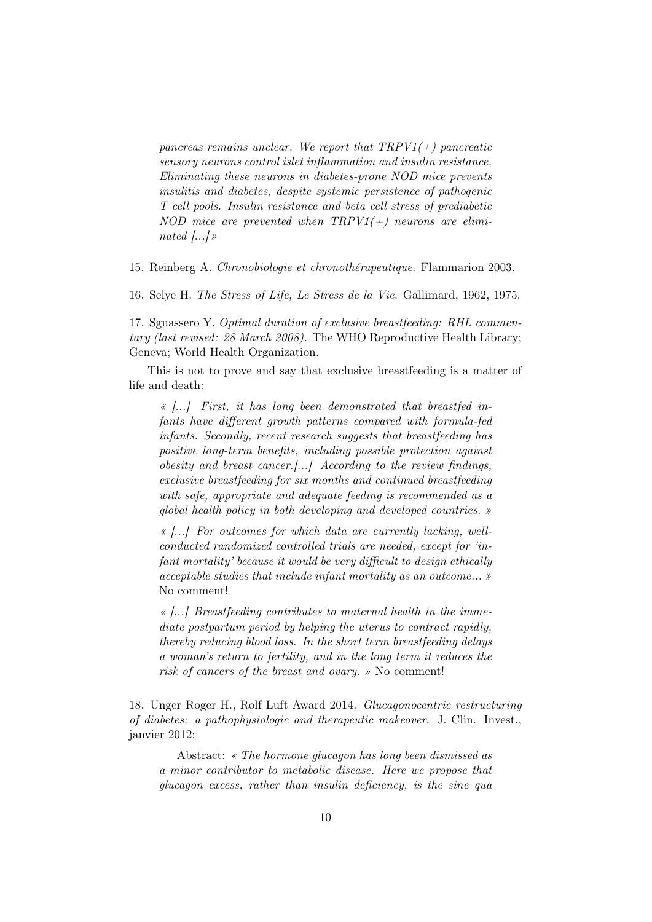pancreas remains unclear. We report that  $TRPV1(+)$  pancreatic sensory neurons control islet inflammation and insulin resistance. Eliminating these neurons in diabetes-prone NOD mice prevents insulitis and diabetes, despite systemic persistence of pathogenic T cell pools. Insulin resistance and beta cell stress of prediabetic NOD mice are prevented when  $TRPV1(+)$  neurons are eliminated  $\left\{ \ldots\right\}$ 

15. Reinberg A. Chronobiologie et chronothérapeutique. Flammarion 2003.

16. Selye H. The Stress of Life, Le Stress de la Vie. Gallimard, 1962, 1975.

17. Sguassero Y. Optimal duration of exclusive breastfeeding: RHL commentary (last revised: 28 March 2008). The WHO Reproductive Health Library; Geneva; World Health Organization.

This is not to prove and say that exclusive breastfeeding is a matter of life and death:

« [...] First, it has long been demonstrated that breastfed infants have different growth patterns compared with formula-fed infants. Secondly, recent research suggests that breastfeeding has positive long-term benefits, including possible protection against obesity and breast cancer.[...] According to the review findings, exclusive breastfeeding for six months and continued breastfeeding with safe, appropriate and adequate feeding is recommended as a global health policy in both developing and developed countries. »

« [...] For outcomes for which data are currently lacking, wellconducted randomized controlled trials are needed, except for 'infant mortality' because it would be very difficult to design ethically acceptable studies that include infant mortality as an outcome... » No comment!

« [...] Breastfeeding contributes to maternal health in the immediate postpartum period by helping the uterus to contract rapidly, thereby reducing blood loss. In the short term breastfeeding delays a woman's return to fertility, and in the long term it reduces the risk of cancers of the breast and ovary. » No comment!

18. Unger Roger H., Rolf Luft Award 2014. Glucagonocentric restructuring of diabetes: a pathophysiologic and therapeutic makeover. J. Clin. Invest., janvier 2012:

Abstract: « The hormone glucagon has long been dismissed as a minor contributor to metabolic disease. Here we propose that glucagon excess, rather than insulin deficiency, is the sine qua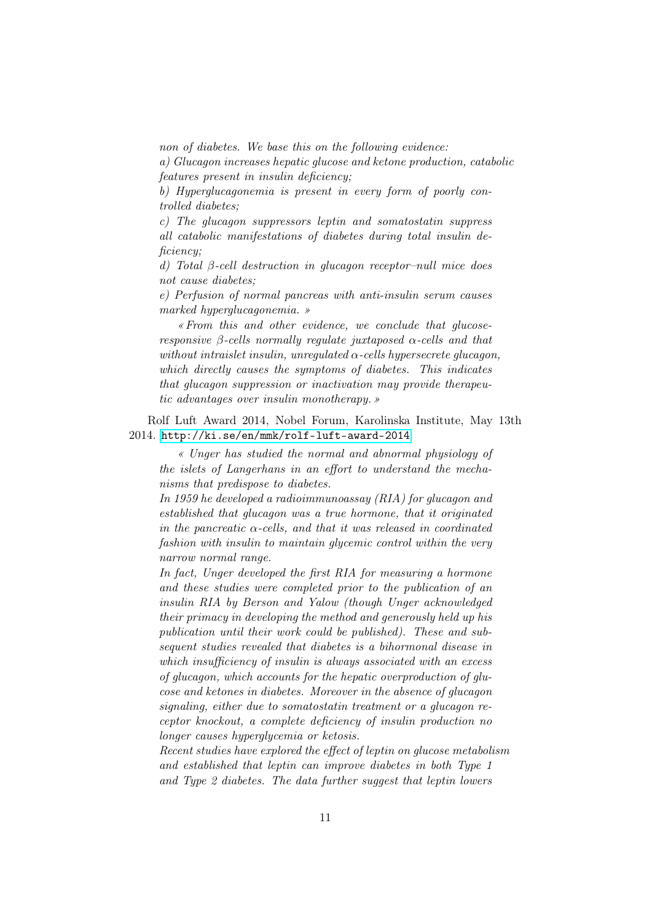non of diabetes. We base this on the following evidence:

a) Glucagon increases hepatic glucose and ketone production, catabolic features present in insulin deficiency;

b) Hyperglucagonemia is present in every form of poorly controlled diabetes;

c) The glucagon suppressors leptin and somatostatin suppress all catabolic manifestations of diabetes during total insulin deficiency;

d) Total β-cell destruction in glucagon receptor–null mice does not cause diabetes;

e) Perfusion of normal pancreas with anti-insulin serum causes marked hyperglucagonemia. »

« From this and other evidence, we conclude that glucoseresponsive  $\beta$ -cells normally regulate juxtaposed  $\alpha$ -cells and that without intraislet insulin, unregulated  $\alpha$ -cells hypersecrete glucagon, which directly causes the symptoms of diabetes. This indicates that glucagon suppression or inactivation may provide therapeutic advantages over insulin monotherapy. »

Rolf Luft Award 2014, Nobel Forum, Karolinska Institute, May 13th 2014. <http://ki.se/en/mmk/rolf-luft-award-2014>:

« Unger has studied the normal and abnormal physiology of the islets of Langerhans in an effort to understand the mechanisms that predispose to diabetes.

In 1959 he developed a radioimmunoassay (RIA) for glucagon and established that glucagon was a true hormone, that it originated in the pancreatic  $\alpha$ -cells, and that it was released in coordinated fashion with insulin to maintain glycemic control within the very narrow normal range.

In fact, Unger developed the first RIA for measuring a hormone and these studies were completed prior to the publication of an insulin RIA by Berson and Yalow (though Unger acknowledged their primacy in developing the method and generously held up his publication until their work could be published). These and subsequent studies revealed that diabetes is a bihormonal disease in which insufficiency of insulin is always associated with an excess of glucagon, which accounts for the hepatic overproduction of glucose and ketones in diabetes. Moreover in the absence of glucagon signaling, either due to somatostatin treatment or a glucagon receptor knockout, a complete deficiency of insulin production no longer causes hyperglycemia or ketosis.

Recent studies have explored the effect of leptin on glucose metabolism and established that leptin can improve diabetes in both Type 1 and Type 2 diabetes. The data further suggest that leptin lowers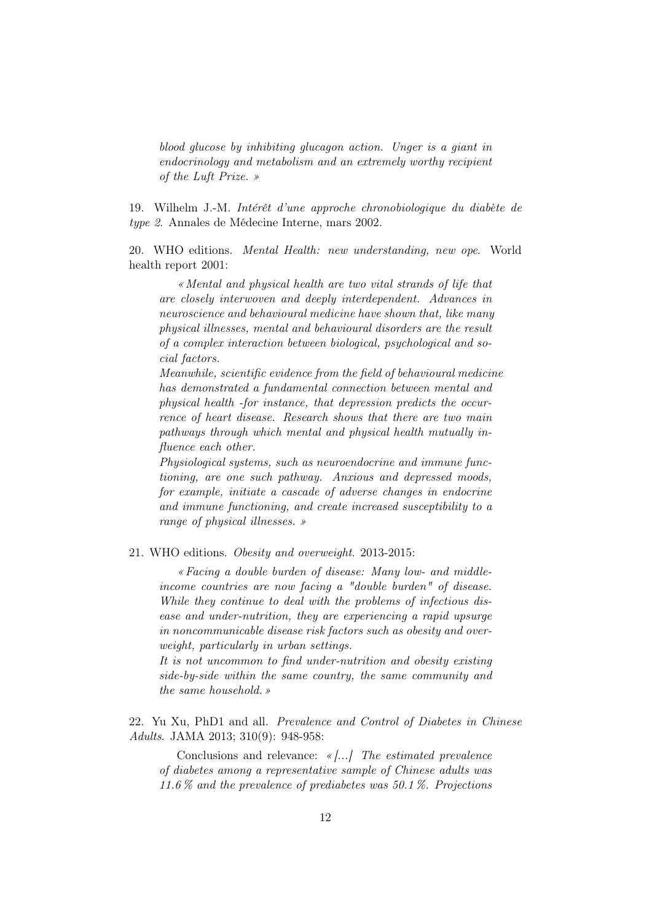blood glucose by inhibiting glucagon action. Unger is a giant in endocrinology and metabolism and an extremely worthy recipient of the Luft Prize. »

19. Wilhelm J.-M. Intérêt d'une approche chronobiologique du diabète de type 2. Annales de Médecine Interne, mars 2002.

20. WHO editions. Mental Health: new understanding, new ope. World health report 2001:

« Mental and physical health are two vital strands of life that are closely interwoven and deeply interdependent. Advances in neuroscience and behavioural medicine have shown that, like many physical illnesses, mental and behavioural disorders are the result of a complex interaction between biological, psychological and social factors.

Meanwhile, scientific evidence from the field of behavioural medicine has demonstrated a fundamental connection between mental and physical health -for instance, that depression predicts the occurrence of heart disease. Research shows that there are two main pathways through which mental and physical health mutually influence each other.

Physiological systems, such as neuroendocrine and immune functioning, are one such pathway. Anxious and depressed moods, for example, initiate a cascade of adverse changes in endocrine and immune functioning, and create increased susceptibility to a range of physical illnesses. »

21. WHO editions. Obesity and overweight. 2013-2015:

« Facing a double burden of disease: Many low- and middleincome countries are now facing a "double burden" of disease. While they continue to deal with the problems of infectious disease and under-nutrition, they are experiencing a rapid upsurge in noncommunicable disease risk factors such as obesity and overweight, particularly in urban settings.

It is not uncommon to find under-nutrition and obesity existing side-by-side within the same country, the same community and the same household. »

22. Yu Xu, PhD1 and all. Prevalence and Control of Diabetes in Chinese Adults. JAMA 2013; 310(9): 948-958:

Conclusions and relevance: «[...] The estimated prevalence of diabetes among a representative sample of Chinese adults was 11.6 % and the prevalence of prediabetes was 50.1 %. Projections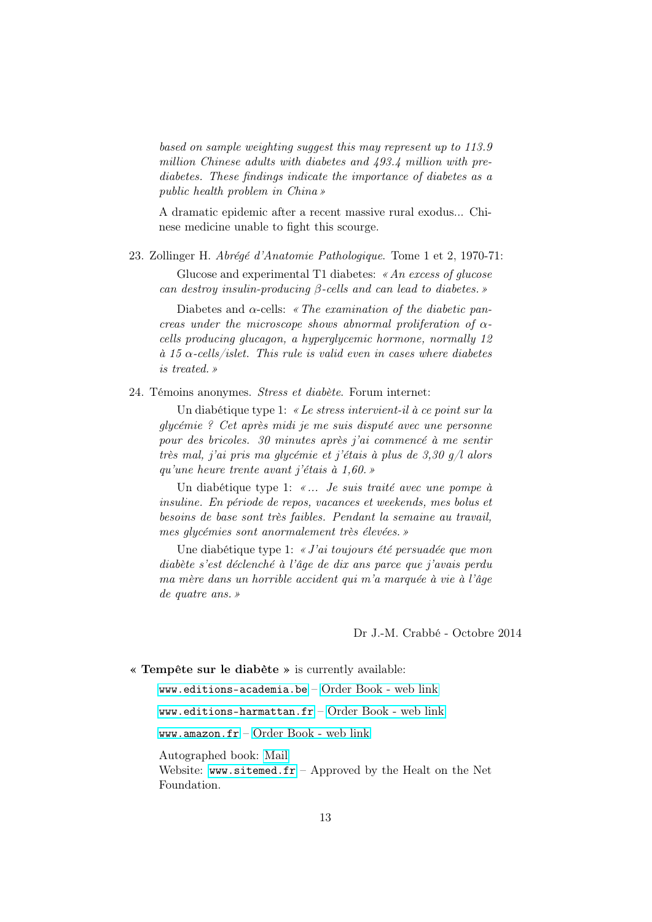based on sample weighting suggest this may represent up to 113.9 million Chinese adults with diabetes and 493.4 million with prediabetes. These findings indicate the importance of diabetes as a public health problem in China »

A dramatic epidemic after a recent massive rural exodus... Chinese medicine unable to fight this scourge.

23. Zollinger H. Abrégé d'Anatomie Pathologique. Tome 1 et 2, 1970-71: Glucose and experimental T1 diabetes: « An excess of glucose can destroy insulin-producing  $\beta$ -cells and can lead to diabetes. »

Diabetes and  $\alpha$ -cells: « The examination of the diabetic pancreas under the microscope shows abnormal proliferation of  $\alpha$ cells producing glucagon, a hyperglycemic hormone, normally 12  $\hat{a}$  15  $\alpha$ -cells/islet. This rule is valid even in cases where diabetes is treated. »

24. Témoins anonymes. Stress et diabète. Forum internet:

Un diabétique type 1: « Le stress intervient-il à ce point sur la glycémie ? Cet après midi je me suis disputé avec une personne pour des bricoles. 30 minutes après j'ai commencé à me sentir très mal, j'ai pris ma glycémie et j'étais à plus de 3,30 g/l alors qu'une heure trente avant j'étais à 1,60. »

Un diabétique type 1: « ... *Je suis traité avec une pompe à* insuline. En période de repos, vacances et weekends, mes bolus et besoins de base sont très faibles. Pendant la semaine au travail, mes glycémies sont anormalement très élevées. »

Une diabétique type 1: « J'ai toujours été persuadée que mon diabète s'est déclenché à l'âge de dix ans parce que j'avais perdu ma mère dans un horrible accident qui m'a marquée à vie à l'âge de quatre ans. »

Dr J.-M. Crabbé - Octobre 2014

« Tempête sur le diabète » is currently available:

<www.editions-academia.be> – [Order Book - web link](http://www.editions-academia.be/index.asp?navig=catalogue&obj=livre&no=44745)

<www.editions-harmattan.fr> – [Order Book - web link](http://www.editions-harmattan.fr/index.asp?navig=catalogue&obj=livre&no=44745)

<www.amazon.fr> – [Order Book - web link](https://tinyurl.com/nnun6nq)

Autographed book: [Mail](mailto:jmc-25@orange.fr)

Website:  $www.sitemed.fr - Approach by the Health on the Net$  $www.sitemed.fr - Approach by the Health on the Net$ Foundation.